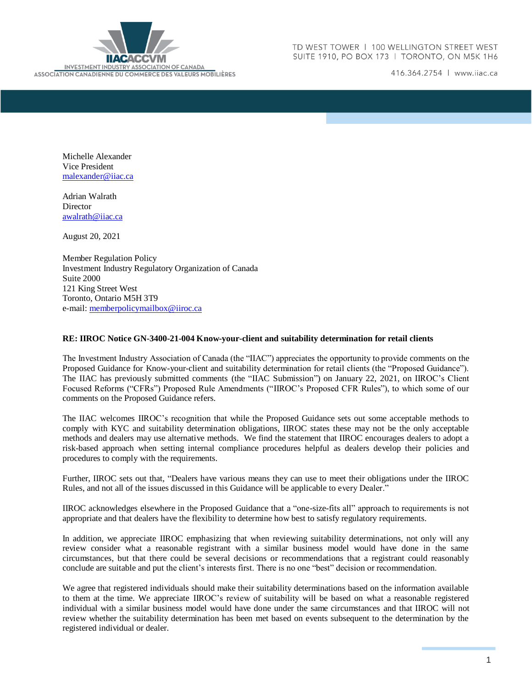

416.364.2754 | www.iiac.ca

Michelle Alexander Vice President [malexander@iiac.ca](mailto:malexander@iiac.ca)

Adrian Walrath **Director** [awalrath@iiac.ca](mailto:awalrath@iiac.ca)

August 20, 2021

Member Regulation Policy Investment Industry Regulatory Organization of Canada Suite 2000 121 King Street West Toronto, Ontario M5H 3T9 e-mail: [memberpolicymailbox@iiroc.ca](mailto:memberpolicymailbox@iiroc.ca)

### **RE: IIROC Notice GN-3400-21-004 Know-your-client and suitability determination for retail clients**

The Investment Industry Association of Canada (the "IIAC") appreciates the opportunity to provide comments on the Proposed Guidance for Know-your-client and suitability determination for retail clients (the "Proposed Guidance"). The IIAC has previously submitted comments (the "IIAC Submission") on January 22, 2021, on IIROC's Client Focused Reforms ("CFRs") Proposed Rule Amendments ("IIROC's Proposed CFR Rules"), to which some of our comments on the Proposed Guidance refers.

The IIAC welcomes IIROC's recognition that while the Proposed Guidance sets out some acceptable methods to comply with KYC and suitability determination obligations, IIROC states these may not be the only acceptable methods and dealers may use alternative methods. We find the statement that IIROC encourages dealers to adopt a risk-based approach when setting internal compliance procedures helpful as dealers develop their policies and procedures to comply with the requirements.

Further, IIROC sets out that, "Dealers have various means they can use to meet their obligations under the IIROC Rules, and not all of the issues discussed in this Guidance will be applicable to every Dealer."

IIROC acknowledges elsewhere in the Proposed Guidance that a "one-size-fits all" approach to requirements is not appropriate and that dealers have the flexibility to determine how best to satisfy regulatory requirements.

In addition, we appreciate IIROC emphasizing that when reviewing suitability determinations, not only will any review consider what a reasonable registrant with a similar business model would have done in the same circumstances, but that there could be several decisions or recommendations that a registrant could reasonably conclude are suitable and put the client's interests first. There is no one "best" decision or recommendation.

We agree that registered individuals should make their suitability determinations based on the information available to them at the time. We appreciate IIROC's review of suitability will be based on what a reasonable registered individual with a similar business model would have done under the same circumstances and that IIROC will not review whether the suitability determination has been met based on events subsequent to the determination by the registered individual or dealer.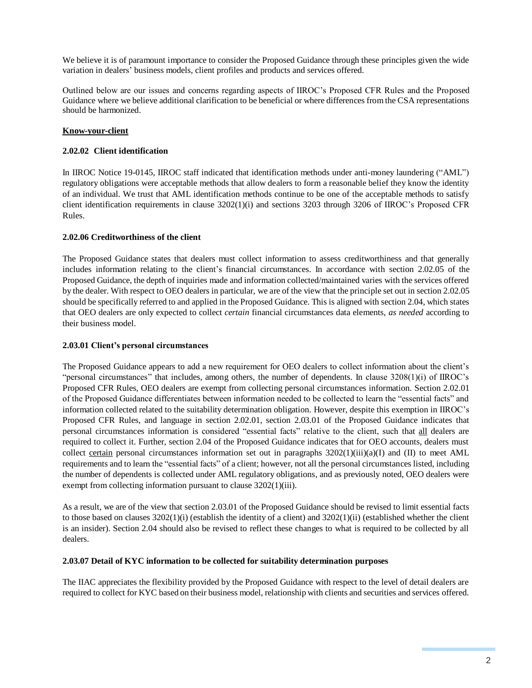We believe it is of paramount importance to consider the Proposed Guidance through these principles given the wide variation in dealers' business models, client profiles and products and services offered.

Outlined below are our issues and concerns regarding aspects of IIROC's Proposed CFR Rules and the Proposed Guidance where we believe additional clarification to be beneficial or where differences from the CSA representations should be harmonized.

## **Know-your-client**

### **2.02.02 Client identification**

In IIROC Notice 19-0145, IIROC staff indicated that identification methods under anti-money laundering ("AML") regulatory obligations were acceptable methods that allow dealers to form a reasonable belief they know the identity of an individual. We trust that AML identification methods continue to be one of the acceptable methods to satisfy client identification requirements in clause 3202(1)(i) and sections 3203 through 3206 of IIROC's Proposed CFR Rules.

## **2.02.06 Creditworthiness of the client**

The Proposed Guidance states that dealers must collect information to assess creditworthiness and that generally includes information relating to the client's financial circumstances. In accordance with section 2.02.05 of the Proposed Guidance, the depth of inquiries made and information collected/maintained varies with the services offered by the dealer. With respect to OEO dealers in particular, we are of the view that the principle set out in section 2.02.05 should be specifically referred to and applied in the Proposed Guidance. This is aligned with section 2.04, which states that OEO dealers are only expected to collect *certain* financial circumstances data elements, *as needed* according to their business model.

### **2.03.01 Client's personal circumstances**

The Proposed Guidance appears to add a new requirement for OEO dealers to collect information about the client's "personal circumstances" that includes, among others, the number of dependents. In clause 3208(1)(i) of IIROC's Proposed CFR Rules, OEO dealers are exempt from collecting personal circumstances information. Section 2.02.01 of the Proposed Guidance differentiates between information needed to be collected to learn the "essential facts" and information collected related to the suitability determination obligation. However, despite this exemption in IIROC's Proposed CFR Rules, and language in section 2.02.01, section 2.03.01 of the Proposed Guidance indicates that personal circumstances information is considered "essential facts" relative to the client, such that all dealers are required to collect it. Further, section 2.04 of the Proposed Guidance indicates that for OEO accounts, dealers must collect certain personal circumstances information set out in paragraphs  $3202(1)(iii)(a)(I)$  and (II) to meet AML requirements and to learn the "essential facts" of a client; however, not all the personal circumstances listed, including the number of dependents is collected under AML regulatory obligations, and as previously noted, OEO dealers were exempt from collecting information pursuant to clause 3202(1)(iii).

As a result, we are of the view that section 2.03.01 of the Proposed Guidance should be revised to limit essential facts to those based on clauses  $3202(1)(i)$  (establish the identity of a client) and  $3202(1)(ii)$  (established whether the client is an insider). Section 2.04 should also be revised to reflect these changes to what is required to be collected by all dealers.

### **2.03.07 Detail of KYC information to be collected for suitability determination purposes**

The IIAC appreciates the flexibility provided by the Proposed Guidance with respect to the level of detail dealers are required to collect for KYC based on their business model, relationship with clients and securities and services offered.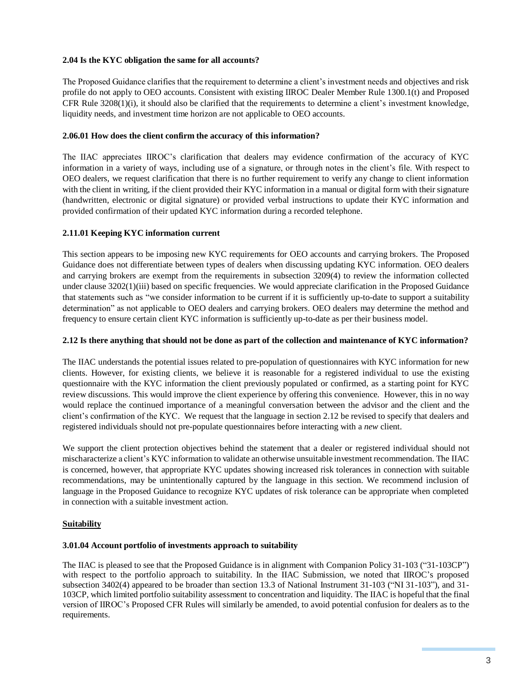## **2.04 Is the KYC obligation the same for all accounts?**

The Proposed Guidance clarifies that the requirement to determine a client's investment needs and objectives and risk profile do not apply to OEO accounts. Consistent with existing IIROC Dealer Member Rule 1300.1(t) and Proposed CFR Rule 3208(1)(i), it should also be clarified that the requirements to determine a client's investment knowledge, liquidity needs, and investment time horizon are not applicable to OEO accounts.

## **2.06.01 How does the client confirm the accuracy of this information?**

The IIAC appreciates IIROC's clarification that dealers may evidence confirmation of the accuracy of KYC information in a variety of ways, including use of a signature, or through notes in the client's file. With respect to OEO dealers, we request clarification that there is no further requirement to verify any change to client information with the client in writing, if the client provided their KYC information in a manual or digital form with their signature (handwritten, electronic or digital signature) or provided verbal instructions to update their KYC information and provided confirmation of their updated KYC information during a recorded telephone.

## **2.11.01 Keeping KYC information current**

This section appears to be imposing new KYC requirements for OEO accounts and carrying brokers. The Proposed Guidance does not differentiate between types of dealers when discussing updating KYC information. OEO dealers and carrying brokers are exempt from the requirements in subsection 3209(4) to review the information collected under clause 3202(1)(iii) based on specific frequencies. We would appreciate clarification in the Proposed Guidance that statements such as "we consider information to be current if it is sufficiently up-to-date to support a suitability determination" as not applicable to OEO dealers and carrying brokers. OEO dealers may determine the method and frequency to ensure certain client KYC information is sufficiently up-to-date as per their business model.

## **2.12 Is there anything that should not be done as part of the collection and maintenance of KYC information?**

The IIAC understands the potential issues related to pre-population of questionnaires with KYC information for new clients. However, for existing clients, we believe it is reasonable for a registered individual to use the existing questionnaire with the KYC information the client previously populated or confirmed, as a starting point for KYC review discussions. This would improve the client experience by offering this convenience. However, this in no way would replace the continued importance of a meaningful conversation between the advisor and the client and the client's confirmation of the KYC. We request that the language in section 2.12 be revised to specify that dealers and registered individuals should not pre-populate questionnaires before interacting with a *new* client.

We support the client protection objectives behind the statement that a dealer or registered individual should not mischaracterize a client's KYC information to validate an otherwise unsuitable investment recommendation. The IIAC is concerned, however, that appropriate KYC updates showing increased risk tolerances in connection with suitable recommendations, may be unintentionally captured by the language in this section. We recommend inclusion of language in the Proposed Guidance to recognize KYC updates of risk tolerance can be appropriate when completed in connection with a suitable investment action.

## **Suitability**

# **3.01.04 Account portfolio of investments approach to suitability**

The IIAC is pleased to see that the Proposed Guidance is in alignment with Companion Policy 31-103 ("31-103CP") with respect to the portfolio approach to suitability. In the IIAC Submission, we noted that IIROC's proposed subsection 3402(4) appeared to be broader than section 13.3 of National Instrument 31-103 ("NI 31-103"), and 31- 103CP, which limited portfolio suitability assessment to concentration and liquidity. The IIAC is hopeful that the final version of IIROC's Proposed CFR Rules will similarly be amended, to avoid potential confusion for dealers as to the requirements.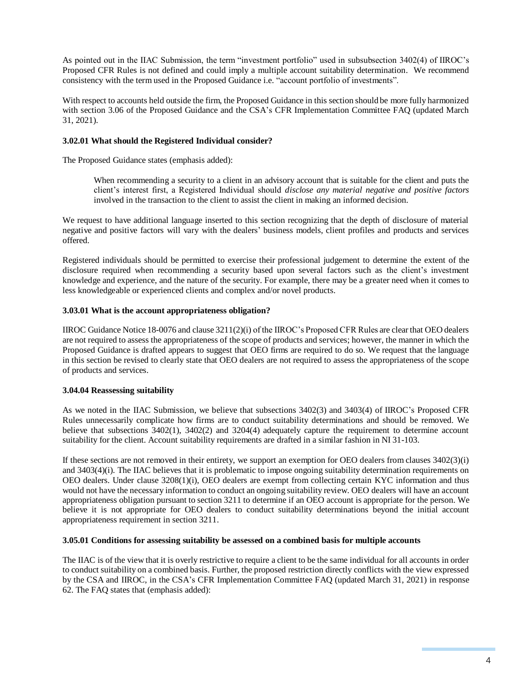As pointed out in the IIAC Submission, the term "investment portfolio" used in subsubsection 3402(4) of IIROC's Proposed CFR Rules is not defined and could imply a multiple account suitability determination. We recommend consistency with the term used in the Proposed Guidance i.e. "account portfolio of investments".

With respect to accounts held outside the firm, the Proposed Guidance in this section should be more fully harmonized with section 3.06 of the Proposed Guidance and the CSA's CFR Implementation Committee FAQ (updated March 31, 2021).

### **3.02.01 What should the Registered Individual consider?**

The Proposed Guidance states (emphasis added):

When recommending a security to a client in an advisory account that is suitable for the client and puts the client's interest first, a Registered Individual should *disclose any material negative and positive factors* involved in the transaction to the client to assist the client in making an informed decision.

We request to have additional language inserted to this section recognizing that the depth of disclosure of material negative and positive factors will vary with the dealers' business models, client profiles and products and services offered.

Registered individuals should be permitted to exercise their professional judgement to determine the extent of the disclosure required when recommending a security based upon several factors such as the client's investment knowledge and experience, and the nature of the security. For example, there may be a greater need when it comes to less knowledgeable or experienced clients and complex and/or novel products.

## **3.03.01 What is the account appropriateness obligation?**

IIROC Guidance Notice 18-0076 and clause 3211(2)(i) of the IIROC's Proposed CFR Rules are clear that OEO dealers are not required to assess the appropriateness of the scope of products and services; however, the manner in which the Proposed Guidance is drafted appears to suggest that OEO firms are required to do so. We request that the language in this section be revised to clearly state that OEO dealers are not required to assess the appropriateness of the scope of products and services.

### **3.04.04 Reassessing suitability**

As we noted in the IIAC Submission, we believe that subsections 3402(3) and 3403(4) of IIROC's Proposed CFR Rules unnecessarily complicate how firms are to conduct suitability determinations and should be removed. We believe that subsections 3402(1), 3402(2) and 3204(4) adequately capture the requirement to determine account suitability for the client. Account suitability requirements are drafted in a similar fashion in NI 31-103.

If these sections are not removed in their entirety, we support an exemption for OEO dealers from clauses 3402(3)(i) and 3403(4)(i). The IIAC believes that it is problematic to impose ongoing suitability determination requirements on OEO dealers. Under clause 3208(1)(i), OEO dealers are exempt from collecting certain KYC information and thus would not have the necessary information to conduct an ongoing suitability review. OEO dealers will have an account appropriateness obligation pursuant to section 3211 to determine if an OEO account is appropriate for the person. We believe it is not appropriate for OEO dealers to conduct suitability determinations beyond the initial account appropriateness requirement in section 3211.

### **3.05.01 Conditions for assessing suitability be assessed on a combined basis for multiple accounts**

The IIAC is of the view that it is overly restrictive to require a client to be the same individual for all accounts in order to conduct suitability on a combined basis. Further, the proposed restriction directly conflicts with the view expressed by the CSA and IIROC, in the CSA's CFR Implementation Committee FAQ (updated March 31, 2021) in response 62. The FAQ states that (emphasis added):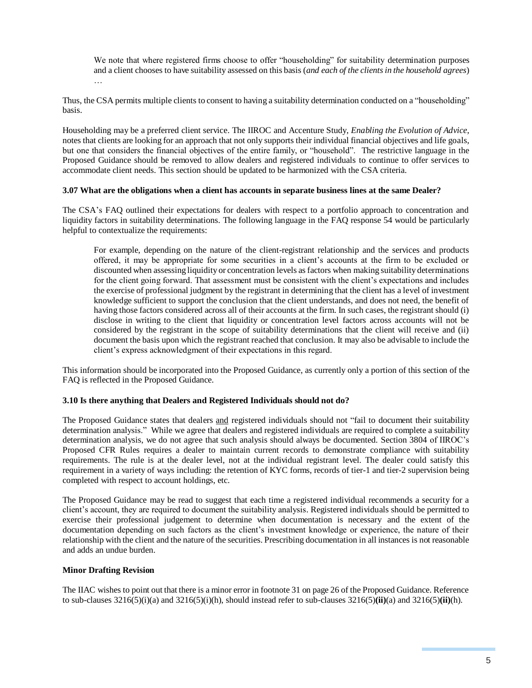We note that where registered firms choose to offer "householding" for suitability determination purposes and a client chooses to have suitability assessed on this basis (*and each of the clientsin the household agrees*) …

Thus, the CSA permits multiple clients to consent to having a suitability determination conducted on a "householding" basis.

Householding may be a preferred client service. The IIROC and Accenture Study, *Enabling the Evolution of Advice*, notes that clients are looking for an approach that not only supports their individual financial objectives and life goals, but one that considers the financial objectives of the entire family, or "household". The restrictive language in the Proposed Guidance should be removed to allow dealers and registered individuals to continue to offer services to accommodate client needs. This section should be updated to be harmonized with the CSA criteria.

### **3.07 What are the obligations when a client has accounts in separate business lines at the same Dealer?**

The CSA's FAQ outlined their expectations for dealers with respect to a portfolio approach to concentration and liquidity factors in suitability determinations. The following language in the FAQ response 54 would be particularly helpful to contextualize the requirements:

For example, depending on the nature of the client-registrant relationship and the services and products offered, it may be appropriate for some securities in a client's accounts at the firm to be excluded or discounted when assessing liquidity or concentration levels as factors when making suitability determinations for the client going forward. That assessment must be consistent with the client's expectations and includes the exercise of professional judgment by the registrant in determining that the client has a level of investment knowledge sufficient to support the conclusion that the client understands, and does not need, the benefit of having those factors considered across all of their accounts at the firm. In such cases, the registrant should (i) disclose in writing to the client that liquidity or concentration level factors across accounts will not be considered by the registrant in the scope of suitability determinations that the client will receive and (ii) document the basis upon which the registrant reached that conclusion. It may also be advisable to include the client's express acknowledgment of their expectations in this regard.

This information should be incorporated into the Proposed Guidance, as currently only a portion of this section of the FAQ is reflected in the Proposed Guidance.

### **3.10 Is there anything that Dealers and Registered Individuals should not do?**

The Proposed Guidance states that dealers and registered individuals should not "fail to document their suitability determination analysis." While we agree that dealers and registered individuals are required to complete a suitability determination analysis, we do not agree that such analysis should always be documented. Section 3804 of IIROC's Proposed CFR Rules requires a dealer to maintain current records to demonstrate compliance with suitability requirements. The rule is at the dealer level, not at the individual registrant level. The dealer could satisfy this requirement in a variety of ways including: the retention of KYC forms, records of tier-1 and tier-2 supervision being completed with respect to account holdings, etc.

The Proposed Guidance may be read to suggest that each time a registered individual recommends a security for a client's account, they are required to document the suitability analysis. Registered individuals should be permitted to exercise their professional judgement to determine when documentation is necessary and the extent of the documentation depending on such factors as the client's investment knowledge or experience, the nature of their relationship with the client and the nature of the securities. Prescribing documentation in all instances is not reasonable and adds an undue burden.

### **Minor Drafting Revision**

The IIAC wishes to point out that there is a minor error in footnote 31 on page 26 of the Proposed Guidance. Reference to sub-clauses 3216(5)(i)(a) and 3216(5)(i)(h), should instead refer to sub-clauses 3216(5)**(ii)**(a) and 3216(5)**(ii)**(h).